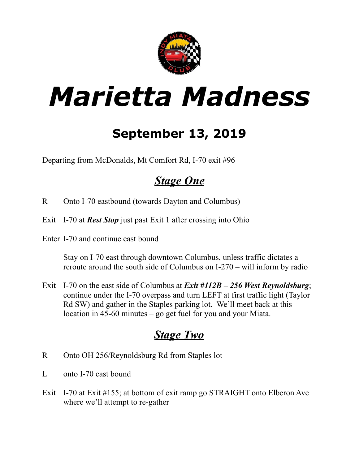

# *Marietta Madness*

## **September 13, 2019**

Departing from McDonalds, Mt Comfort Rd, I-70 exit #96

### *Stage One*

- R Onto I-70 eastbound (towards Dayton and Columbus)
- Exit I-70 at *Rest Stop* just past Exit 1 after crossing into Ohio
- Enter I-70 and continue east bound

Stay on I-70 east through downtown Columbus, unless traffic dictates a reroute around the south side of Columbus on I-270 – will inform by radio

Exit I-70 on the east side of Columbus at *Exit #112B – 256 West Reynoldsburg*; continue under the I-70 overpass and turn LEFT at first traffic light (Taylor Rd SW) and gather in the Staples parking lot. We'll meet back at this location in 45-60 minutes – go get fuel for you and your Miata.

### *Stage Two*

- R Onto OH 256/Reynoldsburg Rd from Staples lot
- L onto I-70 east bound
- Exit I-70 at Exit #155; at bottom of exit ramp go STRAIGHT onto Elberon Ave where we'll attempt to re-gather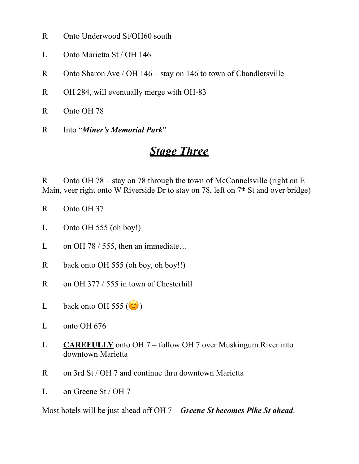- R Onto Underwood St/OH60 south
- L Onto Marietta St / OH 146
- R Onto Sharon Ave / OH 146 stay on 146 to town of Chandlersville
- R OH 284, will eventually merge with OH-83
- R Onto OH 78
- R Into "*Miner's Memorial Park*"

#### *Stage Three*

R Onto OH 78 – stay on 78 through the town of McConnelsville (right on E Main, veer right onto W Riverside Dr to stay on 78, left on 7<sup>th</sup> St and over bridge)

- R Onto OH 37
- L Onto OH 555 (oh boy!)
- L on OH 78 / 555, then an immediate...
- R back onto OH 555 (oh boy, oh boy!!)
- R on OH 377 / 555 in town of Chesterhill
- L back onto OH 555 ( )
- L onto OH 676
- L **CAREFULLY** onto OH 7 follow OH 7 over Muskingum River into downtown Marietta
- R on 3rd St / OH 7 and continue thru downtown Marietta
- L on Greene St / OH 7

Most hotels will be just ahead off OH 7 – *Greene St becomes Pike St ahead*.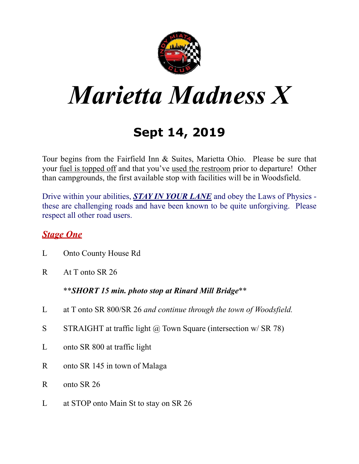

# *Marietta Madness X*

## **Sept 14, 2019**

Tour begins from the Fairfield Inn & Suites, Marietta Ohio. Please be sure that your fuel is topped off and that you've used the restroom prior to departure! Other than campgrounds, the first available stop with facilities will be in Woodsfield.

Drive within your abilities, **STAY IN YOUR LANE** and obey the Laws of Physics these are challenging roads and have been known to be quite unforgiving. Please respect all other road users.

#### *Stage One*

- L Onto County House Rd
- R At T onto SR 26

\*\**SHORT 15 min. photo stop at Rinard Mill Bridge*\*\*

- L at T onto SR 800/SR 26 *and continue through the town of Woodsfield.*
- S STRAIGHT at traffic light  $\omega$  Town Square (intersection w/ SR 78)
- L onto SR 800 at traffic light
- R onto SR 145 in town of Malaga
- R onto SR 26
- L at STOP onto Main St to stay on SR 26